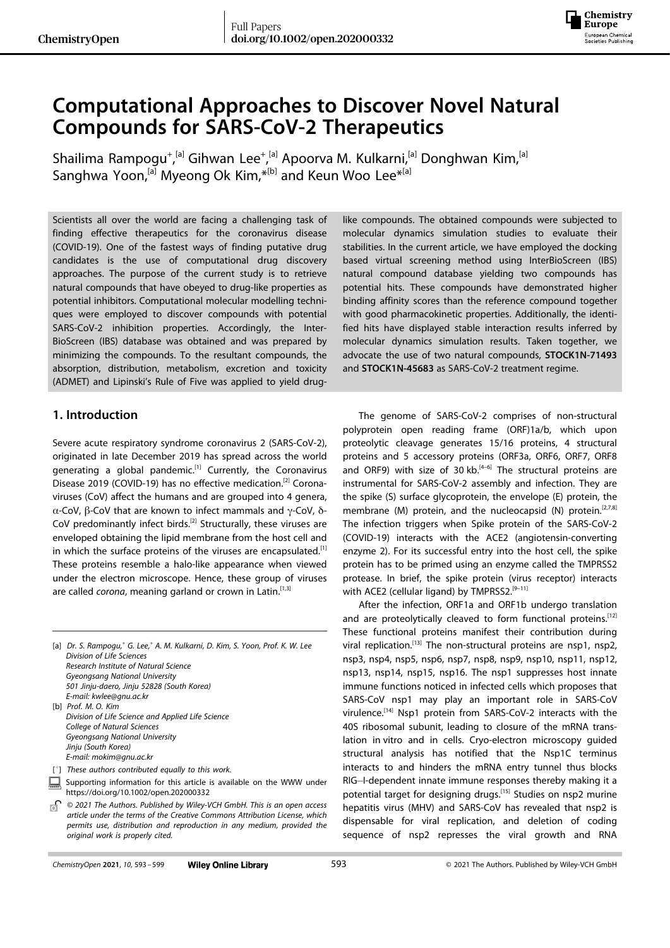

# **Computational Approaches to Discover Novel Natural Compounds for SARS-CoV-2 Therapeutics**

Shailima Rampogu<sup>+ [a]</sup> Gihwan Lee<sup>+ [a]</sup> Apoorva M. Kulkarni,<sup>[a]</sup> Donghwan Kim,<sup>[a]</sup> Sanghwa Yoon,<sup>[a]</sup> Myeong Ok Kim,  $*$ <sup>[b]</sup> and Keun Woo Lee $*$ <sup>[a]</sup>

Scientists all over the world are facing a challenging task of finding effective therapeutics for the coronavirus disease (COVID-19). One of the fastest ways of finding putative drug candidates is the use of computational drug discovery approaches. The purpose of the current study is to retrieve natural compounds that have obeyed to drug-like properties as potential inhibitors. Computational molecular modelling techniques were employed to discover compounds with potential SARS-CoV-2 inhibition properties. Accordingly, the Inter-BioScreen (IBS) database was obtained and was prepared by minimizing the compounds. To the resultant compounds, the absorption, distribution, metabolism, excretion and toxicity (ADMET) and Lipinski's Rule of Five was applied to yield drug-

# **1. Introduction**

Severe acute respiratory syndrome coronavirus 2 (SARS-CoV-2), originated in late December 2019 has spread across the world generating a global pandemic.<sup>[1]</sup> Currently, the Coronavirus Disease 2019 (COVID-19) has no effective medication.<sup>[2]</sup> Coronaviruses (CoV) affect the humans and are grouped into 4 genera, α-CoV, β-CoV that are known to infect mammals and γ-CoV, δ-CoV predominantly infect birds.<sup>[2]</sup> Structurally, these viruses are enveloped obtaining the lipid membrane from the host cell and in which the surface proteins of the viruses are encapsulated.<sup>[1]</sup> These proteins resemble a halo-like appearance when viewed under the electron microscope. Hence, these group of viruses are called *corona*, meaning garland or crown in Latin.<sup>[1,3]</sup>

[a] *Dr. S. Rampogu,+ G. Lee,+ A. M. Kulkarni, D. Kim, S. Yoon, Prof. K. W. Lee Division of Life Sciences Research Institute of Natural Science Gyeongsang National University 501 Jinju-daero, Jinju 52828 (South Korea) E-mail: kwlee@gnu.ac.kr* [b] *Prof. M. O. Kim Division of Life Science and Applied Life Science College of Natural Sciences Gyeongsang National University Jinju (South Korea) E-mail: mokim@gnu.ac.kr* [ <sup>+</sup>] *These authors contributed equally to this work.* Supporting information for this article is available on the WWW under <https://doi.org/10.1002/open.202000332> *© 2021 The Authors. Published by Wiley-VCH GmbH. This is an open access*

*article under the terms of the Creative Commons Attribution License, which permits use, distribution and reproduction in any medium, provided the original work is properly cited.*

like compounds. The obtained compounds were subjected to molecular dynamics simulation studies to evaluate their stabilities. In the current article, we have employed the docking based virtual screening method using InterBioScreen (IBS) natural compound database yielding two compounds has potential hits. These compounds have demonstrated higher binding affinity scores than the reference compound together with good pharmacokinetic properties. Additionally, the identified hits have displayed stable interaction results inferred by molecular dynamics simulation results. Taken together, we advocate the use of two natural compounds, **STOCK1N-71493** and **STOCK1N-45683** as SARS-CoV-2 treatment regime.

The genome of SARS-CoV-2 comprises of non-structural polyprotein open reading frame (ORF)1a/b, which upon proteolytic cleavage generates 15/16 proteins, 4 structural proteins and 5 accessory proteins (ORF3a, ORF6, ORF7, ORF8 and ORF9) with size of 30 kb. $[4-6]$  The structural proteins are instrumental for SARS-CoV-2 assembly and infection. They are the spike (S) surface glycoprotein, the envelope (E) protein, the membrane (M) protein, and the nucleocapsid (N) protein.<sup>[2,7,8]</sup> The infection triggers when Spike protein of the SARS-CoV-2 (COVID-19) interacts with the ACE2 (angiotensin-converting enzyme 2). For its successful entry into the host cell, the spike protein has to be primed using an enzyme called the TMPRSS2 protease. In brief, the spike protein (virus receptor) interacts with ACE2 (cellular ligand) by TMPRSS2.<sup>[9-11]</sup>

After the infection, ORF1a and ORF1b undergo translation and are proteolytically cleaved to form functional proteins.<sup>[12]</sup> These functional proteins manifest their contribution during viral replication.<sup>[13]</sup> The non-structural proteins are nsp1, nsp2, nsp3, nsp4, nsp5, nsp6, nsp7, nsp8, nsp9, nsp10, nsp11, nsp12, nsp13, nsp14, nsp15, nsp16. The nsp1 suppresses host innate immune functions noticed in infected cells which proposes that SARS-CoV nsp1 may play an important role in SARS-CoV virulence.[14] Nsp1 protein from SARS-CoV-2 interacts with the 40S ribosomal subunit, leading to closure of the mRNA translation in vitro and in cells. Cryo-electron microscopy guided structural analysis has notified that the Nsp1C terminus interacts to and hinders the mRNA entry tunnel thus blocks RIG-I-dependent innate immune responses thereby making it a potential target for designing drugs.<sup>[15]</sup> Studies on nsp2 murine hepatitis virus (MHV) and SARS-CoV has revealed that nsp2 is dispensable for viral replication, and deletion of coding sequence of nsp2 represses the viral growth and RNA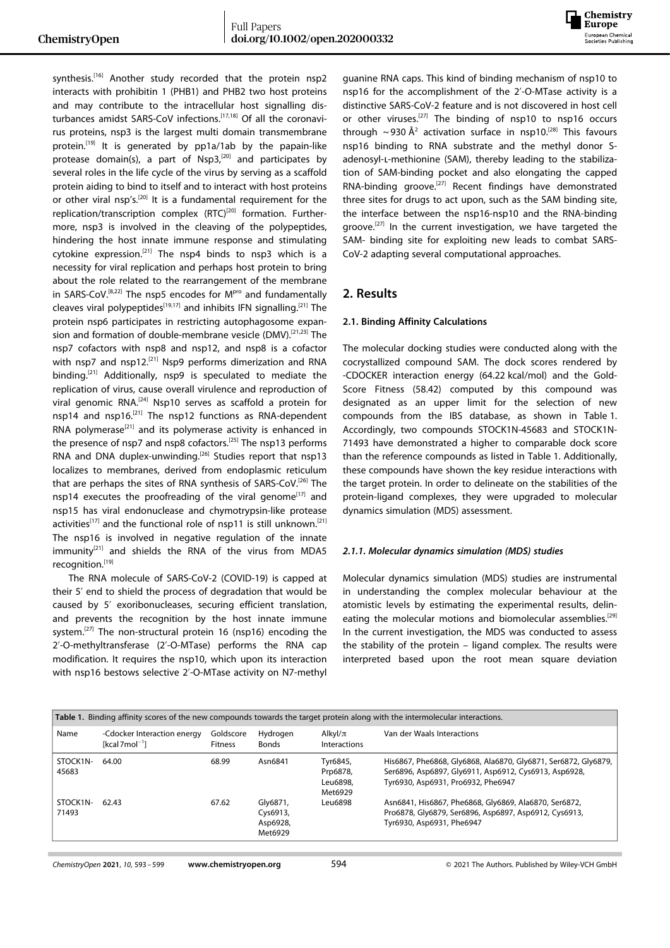

synthesis.<sup>[16]</sup> Another study recorded that the protein nsp2 interacts with prohibitin 1 (PHB1) and PHB2 two host proteins and may contribute to the intracellular host signalling disturbances amidst SARS-CoV infections.[17,18] Of all the coronavirus proteins, nsp3 is the largest multi domain transmembrane protein.<sup>[19]</sup> It is generated by pp1a/1ab by the papain-like protease domain(s), a part of  $Nsp3$ ,<sup>[20]</sup> and participates by several roles in the life cycle of the virus by serving as a scaffold protein aiding to bind to itself and to interact with host proteins or other viral nsp's.[20] It is a fundamental requirement for the replication/transcription complex (RTC)<sup>[20]</sup> formation. Furthermore, nsp3 is involved in the cleaving of the polypeptides, hindering the host innate immune response and stimulating cytokine expression.<sup>[21]</sup> The nsp4 binds to nsp3 which is a necessity for viral replication and perhaps host protein to bring about the role related to the rearrangement of the membrane in SARS-CoV.<sup>[8,22]</sup> The nsp5 encodes for  $M<sup>pro</sup>$  and fundamentally cleaves viral polypeptides<sup>[19,17]</sup> and inhibits IFN signalling.<sup>[21]</sup> The protein nsp6 participates in restricting autophagosome expansion and formation of double-membrane vesicle (DMV).<sup>[21,23]</sup> The nsp7 cofactors with nsp8 and nsp12, and nsp8 is a cofactor with nsp7 and nsp12.<sup>[21]</sup> Nsp9 performs dimerization and RNA binding.<sup>[21]</sup> Additionally, nsp9 is speculated to mediate the replication of virus, cause overall virulence and reproduction of viral genomic RNA.<sup>[24]</sup> Nsp10 serves as scaffold a protein for nsp14 and nsp16.<sup>[21]</sup> The nsp12 functions as RNA-dependent RNA polymerase $[21]$  and its polymerase activity is enhanced in the presence of nsp7 and nsp8 cofactors.<sup>[25]</sup> The nsp13 performs RNA and DNA duplex-unwinding.<sup>[26]</sup> Studies report that nsp13 localizes to membranes, derived from endoplasmic reticulum that are perhaps the sites of RNA synthesis of SARS-CoV.[26] The nsp14 executes the proofreading of the viral genome<sup>[17]</sup> and nsp15 has viral endonuclease and chymotrypsin-like protease activities<sup>[17]</sup> and the functional role of nsp11 is still unknown.<sup>[21]</sup> The nsp16 is involved in negative regulation of the innate  $immunity<sup>[21]</sup>$  and shields the RNA of the virus from MDA5 recognition.[19]

The RNA molecule of SARS-CoV-2 (COVID-19) is capped at their 5' end to shield the process of degradation that would be caused by 5' exoribonucleases, securing efficient translation, and prevents the recognition by the host innate immune system.<sup>[27]</sup> The non-structural protein 16 (nsp16) encoding the 2'-O-methyltransferase (2'-O-MTase) performs the RNA cap modification. It requires the nsp10, which upon its interaction with nsp16 bestows selective 2'-O-MTase activity on N7-methyl guanine RNA caps. This kind of binding mechanism of nsp10 to nsp16 for the accomplishment of the 2'-O-MTase activity is a distinctive SARS-CoV-2 feature and is not discovered in host cell or other viruses.[27] The binding of nsp10 to nsp16 occurs through  $\sim$ 930 Å<sup>2</sup> activation surface in nsp10.<sup>[28]</sup> This favours nsp16 binding to RNA substrate and the methyl donor Sadenosyl-l-methionine (SAM), thereby leading to the stabilization of SAM-binding pocket and also elongating the capped RNA-binding groove.[27] Recent findings have demonstrated three sites for drugs to act upon, such as the SAM binding site, the interface between the nsp16-nsp10 and the RNA-binding groove.<sup>[27]</sup> In the current investigation, we have targeted the SAM- binding site for exploiting new leads to combat SARS-CoV-2 adapting several computational approaches.

# **2. Results**

## **2.1. Binding Affinity Calculations**

The molecular docking studies were conducted along with the cocrystallized compound SAM. The dock scores rendered by -CDOCKER interaction energy (64.22 kcal/mol) and the Gold-Score Fitness (58.42) computed by this compound was designated as an upper limit for the selection of new compounds from the IBS database, as shown in Table 1. Accordingly, two compounds STOCK1N-45683 and STOCK1N-71493 have demonstrated a higher to comparable dock score than the reference compounds as listed in Table 1. Additionally, these compounds have shown the key residue interactions with the target protein. In order to delineate on the stabilities of the protein-ligand complexes, they were upgraded to molecular dynamics simulation (MDS) assessment.

#### *2.1.1. Molecular dynamics simulation (MDS) studies*

Molecular dynamics simulation (MDS) studies are instrumental in understanding the complex molecular behaviour at the atomistic levels by estimating the experimental results, delineating the molecular motions and biomolecular assemblies.<sup>[29]</sup> In the current investigation, the MDS was conducted to assess the stability of the protein – ligand complex. The results were interpreted based upon the root mean square deviation

| Table 1. Binding affinity scores of the new compounds towards the target protein along with the intermolecular interactions. |                                                |                             |                                             |                                             |                                                                                                                                                               |  |  |
|------------------------------------------------------------------------------------------------------------------------------|------------------------------------------------|-----------------------------|---------------------------------------------|---------------------------------------------|---------------------------------------------------------------------------------------------------------------------------------------------------------------|--|--|
| Name                                                                                                                         | -Cdocker Interaction energy<br>$[kcal 7mol-1]$ | Goldscore<br><b>Fitness</b> | Hydrogen<br><b>Bonds</b>                    | Alkyl/ $\pi$<br>Interactions                | Van der Waals Interactions                                                                                                                                    |  |  |
| STOCK1N-<br>45683                                                                                                            | 64.00                                          | 68.99                       | Asn6841                                     | Tyr6845,<br>Prp6878,<br>Leu6898,<br>Met6929 | His6867, Phe6868, Gly6868, Ala6870, Gly6871, Ser6872, Gly6879,<br>Ser6896, Asp6897, Gly6911, Asp6912, Cys6913, Asp6928,<br>Tyr6930, Asp6931, Pro6932, Phe6947 |  |  |
| STOCK1N-<br>71493                                                                                                            | 62.43                                          | 67.62                       | Gly6871,<br>Cys6913,<br>Asp6928,<br>Met6929 | Leu6898                                     | Asn6841, His6867, Phe6868, Gly6869, Ala6870, Ser6872,<br>Pro6878, Gly6879, Ser6896, Asp6897, Asp6912, Cys6913,<br>Tyr6930, Asp6931, Phe6947                   |  |  |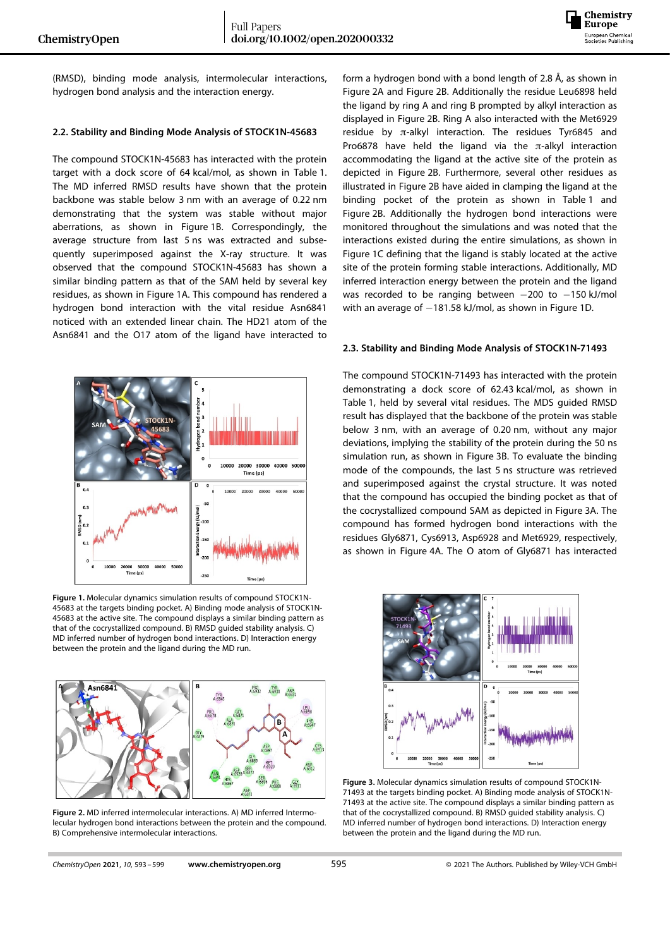

(RMSD), binding mode analysis, intermolecular interactions, hydrogen bond analysis and the interaction energy.

## **2.2. Stability and Binding Mode Analysis of STOCK1N-45683**

The compound STOCK1N-45683 has interacted with the protein target with a dock score of 64 kcal/mol, as shown in Table 1. The MD inferred RMSD results have shown that the protein backbone was stable below 3 nm with an average of 0.22 nm demonstrating that the system was stable without major aberrations, as shown in Figure 1B. Correspondingly, the average structure from last 5 ns was extracted and subsequently superimposed against the X-ray structure. It was observed that the compound STOCK1N-45683 has shown a similar binding pattern as that of the SAM held by several key residues, as shown in Figure 1A. This compound has rendered a hydrogen bond interaction with the vital residue Asn6841 noticed with an extended linear chain. The HD21 atom of the Asn6841 and the O17 atom of the ligand have interacted to



**Figure 1.** Molecular dynamics simulation results of compound STOCK1N-45683 at the targets binding pocket. A) Binding mode analysis of STOCK1N-45683 at the active site. The compound displays a similar binding pattern as that of the cocrystallized compound. B) RMSD guided stability analysis. C) MD inferred number of hydrogen bond interactions. D) Interaction energy between the protein and the ligand during the MD run.



**Figure 2.** MD inferred intermolecular interactions. A) MD inferred Intermolecular hydrogen bond interactions between the protein and the compound. B) Comprehensive intermolecular interactions.

form a hydrogen bond with a bond length of 2.8 Å, as shown in Figure 2A and Figure 2B. Additionally the residue Leu6898 held the ligand by ring A and ring B prompted by alkyl interaction as displayed in Figure 2B. Ring A also interacted with the Met6929 residue by  $\pi$ -alkyl interaction. The residues Tyr6845 and Pro6878 have held the ligand via the  $\pi$ -alkyl interaction accommodating the ligand at the active site of the protein as depicted in Figure 2B. Furthermore, several other residues as illustrated in Figure 2B have aided in clamping the ligand at the binding pocket of the protein as shown in Table 1 and Figure 2B. Additionally the hydrogen bond interactions were monitored throughout the simulations and was noted that the interactions existed during the entire simulations, as shown in Figure 1C defining that the ligand is stably located at the active site of the protein forming stable interactions. Additionally, MD inferred interaction energy between the protein and the ligand was recorded to be ranging between  $-200$  to  $-150$  kJ/mol with an average of  $-181.58$  kJ/mol, as shown in Figure 1D.

#### **2.3. Stability and Binding Mode Analysis of STOCK1N-71493**

The compound STOCK1N-71493 has interacted with the protein demonstrating a dock score of 62.43 kcal/mol, as shown in Table 1, held by several vital residues. The MDS guided RMSD result has displayed that the backbone of the protein was stable below 3 nm, with an average of 0.20 nm, without any major deviations, implying the stability of the protein during the 50 ns simulation run, as shown in Figure 3B. To evaluate the binding mode of the compounds, the last 5 ns structure was retrieved and superimposed against the crystal structure. It was noted that the compound has occupied the binding pocket as that of the cocrystallized compound SAM as depicted in Figure 3A. The compound has formed hydrogen bond interactions with the residues Gly6871, Cys6913, Asp6928 and Met6929, respectively, as shown in Figure 4A. The O atom of Gly6871 has interacted



**Figure 3.** Molecular dynamics simulation results of compound STOCK1N-71493 at the targets binding pocket. A) Binding mode analysis of STOCK1N-71493 at the active site. The compound displays a similar binding pattern as that of the cocrystallized compound. B) RMSD guided stability analysis. C) MD inferred number of hydrogen bond interactions. D) Interaction energy between the protein and the ligand during the MD run.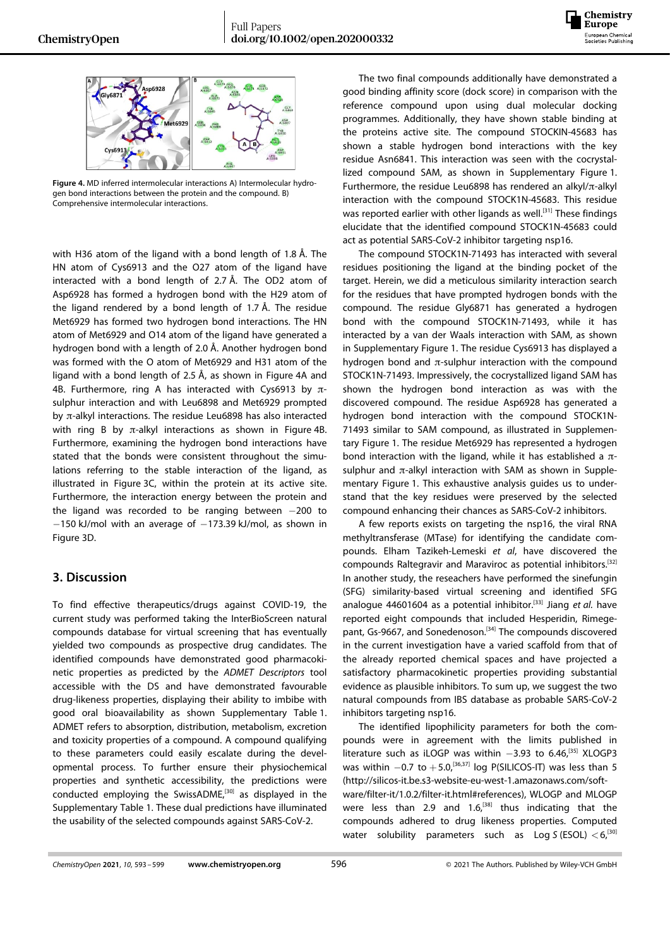



**Figure 4.** MD inferred intermolecular interactions A) Intermolecular hydrogen bond interactions between the protein and the compound. B) Comprehensive intermolecular interactions.

with H36 atom of the ligand with a bond length of 1.8 Å. The HN atom of Cys6913 and the O27 atom of the ligand have interacted with a bond length of 2.7 Å. The OD2 atom of Asp6928 has formed a hydrogen bond with the H29 atom of the ligand rendered by a bond length of 1.7 Å. The residue Met6929 has formed two hydrogen bond interactions. The HN atom of Met6929 and O14 atom of the ligand have generated a hydrogen bond with a length of 2.0 Å. Another hydrogen bond was formed with the O atom of Met6929 and H31 atom of the ligand with a bond length of 2.5 Å, as shown in Figure 4A and 4B. Furthermore, ring A has interacted with Cys6913 by  $\pi$ sulphur interaction and with Leu6898 and Met6929 prompted by π-alkyl interactions. The residue Leu6898 has also interacted with ring B by  $\pi$ -alkyl interactions as shown in Figure 4B. Furthermore, examining the hydrogen bond interactions have stated that the bonds were consistent throughout the simulations referring to the stable interaction of the ligand, as illustrated in Figure 3C, within the protein at its active site. Furthermore, the interaction energy between the protein and the ligand was recorded to be ranging between  $-200$  to  $-150$  kJ/mol with an average of  $-173.39$  kJ/mol, as shown in Figure 3D.

# **3. Discussion**

To find effective therapeutics/drugs against COVID-19, the current study was performed taking the InterBioScreen natural compounds database for virtual screening that has eventually yielded two compounds as prospective drug candidates. The identified compounds have demonstrated good pharmacokinetic properties as predicted by the *ADMET Descriptors* tool accessible with the DS and have demonstrated favourable drug-likeness properties, displaying their ability to imbibe with good oral bioavailability as shown Supplementary Table 1. ADMET refers to absorption, distribution, metabolism, excretion and toxicity properties of a compound. A compound qualifying to these parameters could easily escalate during the developmental process. To further ensure their physiochemical properties and synthetic accessibility, the predictions were conducted employing the SwissADME,<sup>[30]</sup> as displayed in the Supplementary Table 1. These dual predictions have illuminated the usability of the selected compounds against SARS-CoV-2.

The two final compounds additionally have demonstrated a good binding affinity score (dock score) in comparison with the reference compound upon using dual molecular docking programmes. Additionally, they have shown stable binding at the proteins active site. The compound STOCKIN-45683 has shown a stable hydrogen bond interactions with the key residue Asn6841. This interaction was seen with the cocrystallized compound SAM, as shown in Supplementary Figure 1. Furthermore, the residue Leu6898 has rendered an alkyl/π-alkyl interaction with the compound STOCK1N-45683. This residue was reported earlier with other ligands as well.<sup>[31]</sup> These findings elucidate that the identified compound STOCK1N-45683 could act as potential SARS-CoV-2 inhibitor targeting nsp16.

The compound STOCK1N-71493 has interacted with several residues positioning the ligand at the binding pocket of the target. Herein, we did a meticulous similarity interaction search for the residues that have prompted hydrogen bonds with the compound. The residue Gly6871 has generated a hydrogen bond with the compound STOCK1N-71493, while it has interacted by a van der Waals interaction with SAM, as shown in Supplementary Figure 1. The residue Cys6913 has displayed a hydrogen bond and π-sulphur interaction with the compound STOCK1N-71493. Impressively, the cocrystallized ligand SAM has shown the hydrogen bond interaction as was with the discovered compound. The residue Asp6928 has generated a hydrogen bond interaction with the compound STOCK1N-71493 similar to SAM compound, as illustrated in Supplementary Figure 1. The residue Met6929 has represented a hydrogen bond interaction with the ligand, while it has established a  $π$ sulphur and  $\pi$ -alkyl interaction with SAM as shown in Supplementary Figure 1. This exhaustive analysis guides us to understand that the key residues were preserved by the selected compound enhancing their chances as SARS-CoV-2 inhibitors.

A few reports exists on targeting the nsp16, the viral RNA methyltransferase (MTase) for identifying the candidate compounds. Elham Tazikeh-Lemeski *et al*, have discovered the compounds Raltegravir and Maraviroc as potential inhibitors.[32] In another study, the reseachers have performed the sinefungin (SFG) similarity-based virtual screening and identified SFG analogue 44601604 as a potential inhibitor.[33] Jiang *et al.* have reported eight compounds that included Hesperidin, Rimegepant, Gs-9667, and Sonedenoson.<sup>[34]</sup> The compounds discovered in the current investigation have a varied scaffold from that of the already reported chemical spaces and have projected a satisfactory pharmacokinetic properties providing substantial evidence as plausible inhibitors. To sum up, we suggest the two natural compounds from IBS database as probable SARS-CoV-2 inhibitors targeting nsp16.

The identified lipophilicity parameters for both the compounds were in agreement with the limits published in literature such as iLOGP was within  $-3.93$  to 6.46,<sup>[35]</sup> XLOGP3 was within  $-0.7$  to  $+5.0$ ,<sup>[36,37]</sup> log P(SILICOS-IT) was less than 5 [\(http://silicos-it.be.s3-website-eu-west-1.amazonaws.com/soft](http://silicos-it.be.s3-website-eu-west-1.amazonaws.com/software/filter-it/1.0.2/filter-it.html)[ware/filter-it/1.0.2/filter-it.html#](http://silicos-it.be.s3-website-eu-west-1.amazonaws.com/software/filter-it/1.0.2/filter-it.html)references), WLOGP and MLOGP were less than 2.9 and  $1.6<sup>[38]</sup>$  thus indicating that the compounds adhered to drug likeness properties. Computed water solubility parameters such as Log *S* (ESOL) *<*6,[30]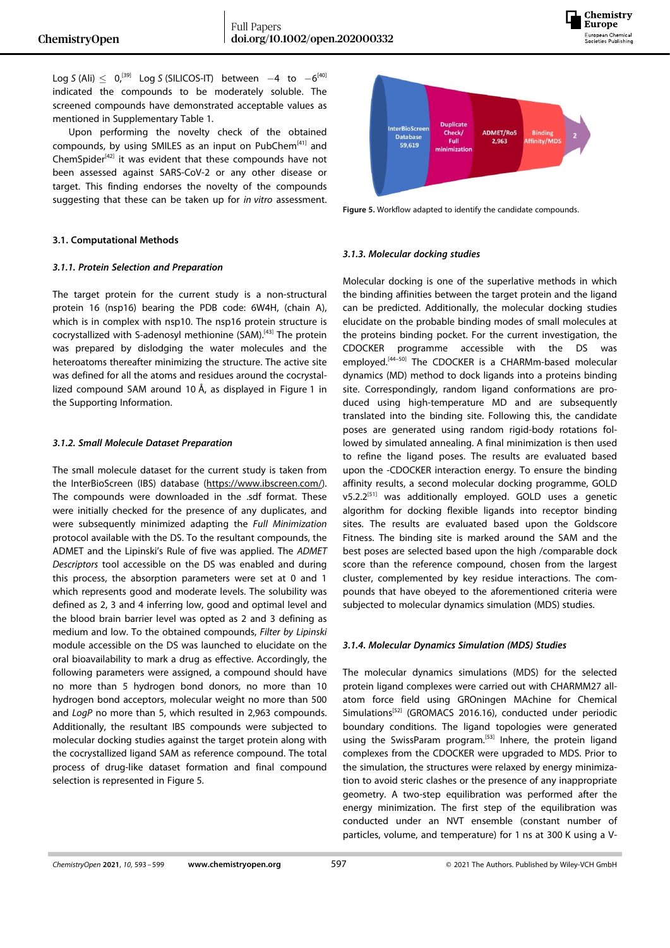

Log *S* (Ali)  $\leq 0$ ,<sup>[39]</sup> Log *S* (SILICOS-IT) between  $-4$  to  $-6^{[40]}$ indicated the compounds to be moderately soluble. The screened compounds have demonstrated acceptable values as mentioned in Supplementary Table 1.

Upon performing the novelty check of the obtained compounds, by using SMILES as an input on PubChem[41] and ChemSpider $[42]$  it was evident that these compounds have not been assessed against SARS-CoV-2 or any other disease or target. This finding endorses the novelty of the compounds suggesting that these can be taken up for *in vitro* assessment.

## **3.1. Computational Methods**

#### *3.1.1. Protein Selection and Preparation*

The target protein for the current study is a non-structural protein 16 (nsp16) bearing the PDB code: 6W4H, (chain A), which is in complex with nsp10. The nsp16 protein structure is cocrystallized with S-adenosyl methionine (SAM).[43] The protein was prepared by dislodging the water molecules and the heteroatoms thereafter minimizing the structure. The active site was defined for all the atoms and residues around the cocrystallized compound SAM around 10 Å, as displayed in Figure 1 in the Supporting Information.

#### *3.1.2. Small Molecule Dataset Preparation*

The small molecule dataset for the current study is taken from the InterBioScreen (IBS) database ([https://www.ibscreen.com/\).](https://www.ibscreen.com/) The compounds were downloaded in the .sdf format. These were initially checked for the presence of any duplicates, and were subsequently minimized adapting the *Full Minimization* protocol available with the DS. To the resultant compounds, the ADMET and the Lipinski's Rule of five was applied. The *ADMET Descriptors* tool accessible on the DS was enabled and during this process, the absorption parameters were set at 0 and 1 which represents good and moderate levels. The solubility was defined as 2, 3 and 4 inferring low, good and optimal level and the blood brain barrier level was opted as 2 and 3 defining as medium and low. To the obtained compounds, *Filter by Lipinski* module accessible on the DS was launched to elucidate on the oral bioavailability to mark a drug as effective. Accordingly, the following parameters were assigned, a compound should have no more than 5 hydrogen bond donors, no more than 10 hydrogen bond acceptors, molecular weight no more than 500 and *LogP* no more than 5, which resulted in 2,963 compounds. Additionally, the resultant IBS compounds were subjected to molecular docking studies against the target protein along with the cocrystallized ligand SAM as reference compound. The total process of drug-like dataset formation and final compound selection is represented in Figure 5.



**Figure 5.** Workflow adapted to identify the candidate compounds.

### *3.1.3. Molecular docking studies*

Molecular docking is one of the superlative methods in which the binding affinities between the target protein and the ligand can be predicted. Additionally, the molecular docking studies elucidate on the probable binding modes of small molecules at the proteins binding pocket. For the current investigation, the CDOCKER programme accessible with the DS was employed.[44–50] The CDOCKER is a CHARMm-based molecular dynamics (MD) method to dock ligands into a proteins binding site. Correspondingly, random ligand conformations are produced using high-temperature MD and are subsequently translated into the binding site. Following this, the candidate poses are generated using random rigid-body rotations followed by simulated annealing. A final minimization is then used to refine the ligand poses. The results are evaluated based upon the -CDOCKER interaction energy. To ensure the binding affinity results, a second molecular docking programme, GOLD v5.2.2<sup>[51]</sup> was additionally employed. GOLD uses a genetic algorithm for docking flexible ligands into receptor binding sites. The results are evaluated based upon the Goldscore Fitness. The binding site is marked around the SAM and the best poses are selected based upon the high /comparable dock score than the reference compound, chosen from the largest cluster, complemented by key residue interactions. The compounds that have obeyed to the aforementioned criteria were subjected to molecular dynamics simulation (MDS) studies.

## *3.1.4. Molecular Dynamics Simulation (MDS) Studies*

The molecular dynamics simulations (MDS) for the selected protein ligand complexes were carried out with CHARMM27 allatom force field using GROningen MAchine for Chemical Simulations<sup>[52]</sup> (GROMACS 2016.16), conducted under periodic boundary conditions. The ligand topologies were generated using the SwissParam program.<sup>[53]</sup> Inhere, the protein ligand complexes from the CDOCKER were upgraded to MDS. Prior to the simulation, the structures were relaxed by energy minimization to avoid steric clashes or the presence of any inappropriate geometry. A two-step equilibration was performed after the energy minimization. The first step of the equilibration was conducted under an NVT ensemble (constant number of particles, volume, and temperature) for 1 ns at 300 K using a V-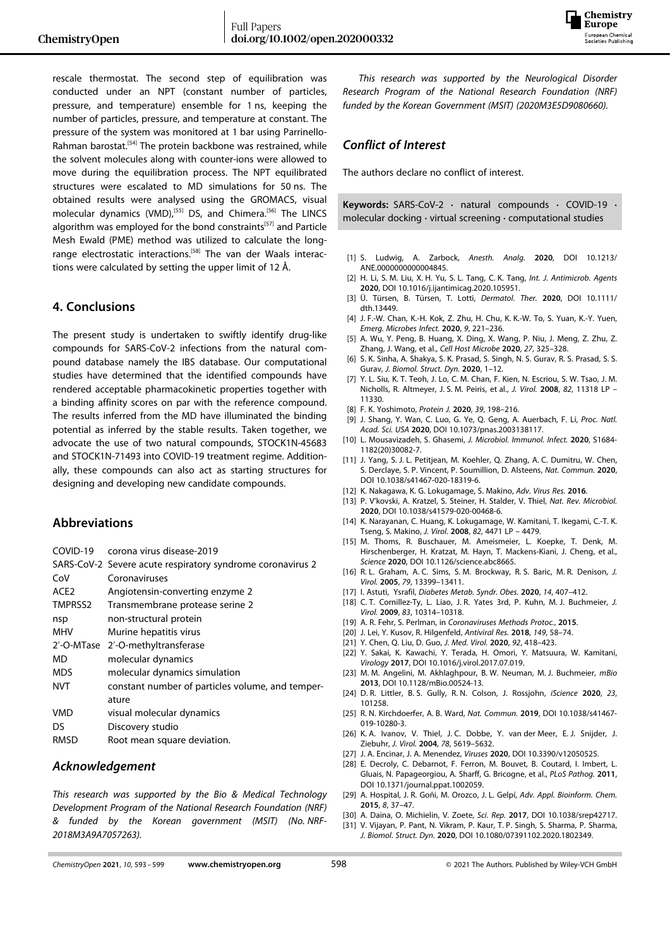

rescale thermostat. The second step of equilibration was conducted under an NPT (constant number of particles, pressure, and temperature) ensemble for 1 ns, keeping the number of particles, pressure, and temperature at constant. The pressure of the system was monitored at 1 bar using Parrinello-Rahman barostat.<sup>[54]</sup> The protein backbone was restrained, while the solvent molecules along with counter-ions were allowed to move during the equilibration process. The NPT equilibrated structures were escalated to MD simulations for 50 ns. The obtained results were analysed using the GROMACS, visual molecular dynamics (VMD),<sup>[55]</sup> DS, and Chimera.<sup>[56]</sup> The LINCS algorithm was employed for the bond constraints<sup>[57]</sup> and Particle Mesh Ewald (PME) method was utilized to calculate the longrange electrostatic interactions.<sup>[58]</sup> The van der Waals interactions were calculated by setting the upper limit of 12 Å.

# **4. Conclusions**

The present study is undertaken to swiftly identify drug-like compounds for SARS-CoV-2 infections from the natural compound database namely the IBS database. Our computational studies have determined that the identified compounds have rendered acceptable pharmacokinetic properties together with a binding affinity scores on par with the reference compound. The results inferred from the MD have illuminated the binding potential as inferred by the stable results. Taken together, we advocate the use of two natural compounds, STOCK1N-45683 and STOCK1N-71493 into COVID-19 treatment regime. Additionally, these compounds can also act as starting structures for designing and developing new candidate compounds.

# **Abbreviations**

| COVID-19 |  |  | corona virus disease-2019 |
|----------|--|--|---------------------------|
|----------|--|--|---------------------------|

|                  | SARS-CoV-2 Severe acute respiratory syndrome coronavirus 2 |
|------------------|------------------------------------------------------------|
| CoV              | Coronaviruses                                              |
| ACE <sub>2</sub> | Angiotensin-converting enzyme 2                            |
| TMPRSS2          | Transmembrane protease serine 2                            |
| nsp              | non-structural protein                                     |
| <b>MHV</b>       | Murine hepatitis virus                                     |
|                  | 2'-O-MTase 2'-O-methyltransferase                          |
| MD               | molecular dynamics                                         |
| <b>MDS</b>       | molecular dynamics simulation                              |
| <b>NVT</b>       | constant number of particles volume, and temper-           |
|                  | ature                                                      |
| <b>VMD</b>       | visual molecular dynamics                                  |
| DS               | Discovery studio                                           |
| <b>RMSD</b>      | Root mean square deviation.                                |
|                  |                                                            |

## *Acknowledgement*

*This research was supported by the Bio & Medical Technology Development Program of the National Research Foundation (NRF) & funded by the Korean government (MSIT) (No. NRF-2018M3A9A7057263).*

*This research was supported by the Neurological Disorder Research Program of the National Research Foundation (NRF) funded by the Korean Government (MSIT) (2020M3E5D9080660).*

## *Conflict of Interest*

The authors declare no conflict of interest.

**Keywords:** SARS-CoV-2 **·** natural compounds **·** COVID-19 **·** molecular docking **·** virtual screening **·** computational studies

- [1] S. Ludwig, A. Zarbock, *Anesth. Analg.* **2020**, DOI 10.1213/ ANE.0000000000004845.
- [2] H. Li, S. M. Liu, X. H. Yu, S. L. Tang, C. K. Tang, *Int. J. Antimicrob. Agents* **2020**, DOI 10.1016/j.ijantimicag.2020.105951.
- [3] Ü. Türsen, B. Türsen, T. Lotti, *Dermatol. Ther.* **2020**, DOI 10.1111/ dth.13449.
- [4] J. F.-W. Chan, K.-H. Kok, Z. Zhu, H. Chu, K. K.-W. To, S. Yuan, K.-Y. Yuen, *Emerg. Microbes Infect.* **2020**, *9*, [221–236.](https://doi.org/10.1080/22221751.2020.1719902)
- [5] A. Wu, Y. Peng, B. Huang, X. Ding, X. Wang, P. Niu, J. Meng, Z. Zhu, Z. Zhang, J. Wang, et al., *Cell Host Microbe* **2020**, *27*, [325–328.](https://doi.org/10.1016/j.chom.2020.02.001)
- [6] S. K. Sinha, A. Shakya, S. K. Prasad, S. Singh, N. S. Gurav, R. S. Prasad, S. S. Gurav, *J. Biomol. Struct. Dyn.* **2020**, 1–12.
- [7] Y. L. Siu, K. T. Teoh, J. Lo, C. M. Chan, F. Kien, N. Escriou, S. W. Tsao, J. M. Nicholls, R. Altmeyer, J. S. M. Peiris, et al., *J. Virol.* **2008**, *82*, [11318](https://doi.org/10.1128/JVI.01052-08) LP – [11330.](https://doi.org/10.1128/JVI.01052-08)
- [8] F. K. Yoshimoto, *Protein J.* **2020**, *39*, [198–216](https://doi.org/10.1007/s10930-020-09901-4).
- [9] J. Shang, Y. Wan, C. Luo, G. Ye, Q. Geng, A. Auerbach, F. Li, *Proc. Natl. Acad. Sci. USA* **2020**, DOI 10.1073/pnas.2003138117.
- [10] L. Mousavizadeh, S. Ghasemi, *J. Microbiol. Immunol. Infect.* **2020**, S1684- 1182(20)30082-7.
- [11] J. Yang, S. J. L. Petitjean, M. Koehler, Q. Zhang, A. C. Dumitru, W. Chen, S. Derclaye, S. P. Vincent, P. Soumillion, D. Alsteens, *Nat. Commun.* **2020**, DOI 10.1038/s41467-020-18319-6.
- [12] K. Nakagawa, K. G. Lokugamage, S. Makino, *Adv. Virus Res.* **2016**.
- [13] P. V'kovski, A. Kratzel, S. Steiner, H. Stalder, V. Thiel, *Nat. Rev. Microbiol.* **2020**, DOI 10.1038/s41579-020-00468-6.
- [14] K. Narayanan, C. Huang, K. Lokugamage, W. Kamitani, T. Ikegami, C.-T. K. Tseng, S. Makino, *J. Virol.* **[2008](https://doi.org/10.1128/JVI.02472-07)**, *82*, 4471 LP – 4479.
- [15] M. Thoms, R. Buschauer, M. Ameismeier, L. Koepke, T. Denk, M. Hirschenberger, H. Kratzat, M. Hayn, T. Mackens-Kiani, J. Cheng, et al., *Science* **2020**, DOI 10.1126/science.abc8665.
- [16] R. L. Graham, A. C. Sims, S. M. Brockway, R. S. Baric, M. R. Denison, *[J.](https://doi.org/10.1128/JVI.79.21.13399-13411.2005) Virol.* **2005**, *79*, [13399–13411.](https://doi.org/10.1128/JVI.79.21.13399-13411.2005)
- [17] I. Astuti, Ysrafil, *Diabetes Metab. Syndr. Obes.* **2020**, *14*, [407–412.](https://doi.org/10.1016/j.dsx.2020.04.020)
- [18] C. T. Cornillez-Ty, L. Liao, J. R. Yates 3rd, P. Kuhn, M. J. Buchmeier, *[J.](https://doi.org/10.1128/JVI.00842-09) Virol.* **2009**, *83*, [10314–10318.](https://doi.org/10.1128/JVI.00842-09)
- [19] A. R. Fehr, S. Perlman, in *Coronaviruses Methods Protoc.*, **2015**.
- [20] J. Lei, Y. Kusov, R. Hilgenfeld, *[Antiviral](https://doi.org/10.1016/j.antiviral.2017.11.001) Res.* **2018**, *149*, 58–74.
- [21] Y. Chen, Q. Liu, D. Guo, *J. Med. Virol.* **2020**, *92*, [418–423](https://doi.org/10.1002/jmv.25681).
- [22] Y. Sakai, K. Kawachi, Y. Terada, H. Omori, Y. Matsuura, W. Kamitani, *Virology* **2017**, DOI 10.1016/j.virol.2017.07.019.
- [23] M. M. Angelini, M. Akhlaghpour, B. W. Neuman, M. J. Buchmeier, *mBio* **2013**, DOI 10.1128/mBio.00524-13.
- [24] D. R. Littler, B. S. Gully, R. N. Colson, J. Rossjohn, *[iScience](https://doi.org/10.1016/j.isci.2020.101258)* **2020**, *23*, [101258.](https://doi.org/10.1016/j.isci.2020.101258)
- [25] R. N. Kirchdoerfer, A. B. Ward, *Nat. Commun.* **2019**, DOI 10.1038/s41467- 019-10280-3.
- [26] K. A. Ivanov, V. Thiel, J. C. Dobbe, Y. van der Meer, E. J. Snijder, J. Ziebuhr, *J. Virol.* **2004**, *78*, [5619–5632.](https://doi.org/10.1128/JVI.78.11.5619-5632.2004)
- [27] J. A. Encinar, J. A. Menendez, *Viruses* **2020**, DOI 10.3390/v12050525.
- [28] E. Decroly, C. Debarnot, F. Ferron, M. Bouvet, B. Coutard, I. Imbert, L. Gluais, N. Papageorgiou, A. Sharff, G. Bricogne, et al., *PLoS Pathog.* **2011**, DOI 10.1371/journal.ppat.1002059.
- [29] A. Hospital, J. R. Goñi, M. Orozco, J. L. Gelpí, *Adv. Appl. Bioinform. Chem.* **2015**, *8*, 37–47.
- [30] A. Daina, O. Michielin, V. Zoete, *Sci. Rep.* **2017**, DOI 10.1038/srep42717.
- [31] V. Vijayan, P. Pant, N. Vikram, P. Kaur, T. P. Singh, S. Sharma, P. Sharma, *J. Biomol. Struct. Dyn.* **2020**, DOI 10.1080/07391102.2020.1802349.